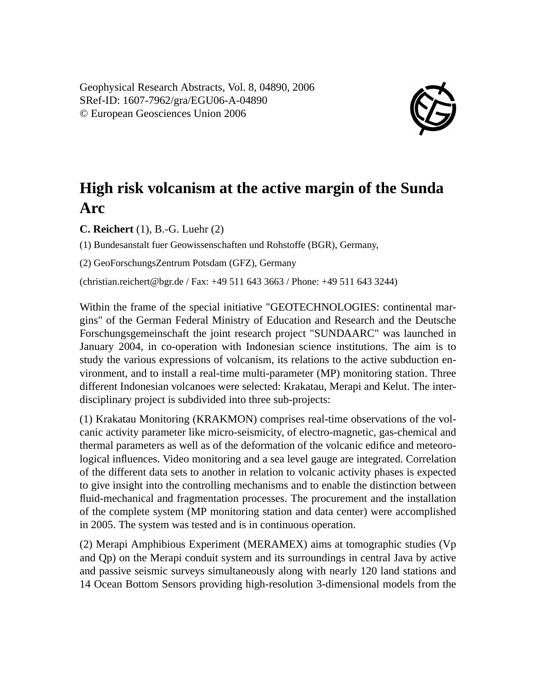Geophysical Research Abstracts, Vol. 8, 04890, 2006 SRef-ID: 1607-7962/gra/EGU06-A-04890 © European Geosciences Union 2006



## **High risk volcanism at the active margin of the Sunda Arc**

**C. Reichert** (1), B.-G. Luehr (2)

(1) Bundesanstalt fuer Geowissenschaften und Rohstoffe (BGR), Germany,

(2) GeoForschungsZentrum Potsdam (GFZ), Germany

(christian.reichert@bgr.de / Fax: +49 511 643 3663 / Phone: +49 511 643 3244)

Within the frame of the special initiative "GEOTECHNOLOGIES: continental margins" of the German Federal Ministry of Education and Research and the Deutsche Forschungsgemeinschaft the joint research project "SUNDAARC" was launched in January 2004, in co-operation with Indonesian science institutions. The aim is to study the various expressions of volcanism, its relations to the active subduction environment, and to install a real-time multi-parameter (MP) monitoring station. Three different Indonesian volcanoes were selected: Krakatau, Merapi and Kelut. The interdisciplinary project is subdivided into three sub-projects:

(1) Krakatau Monitoring (KRAKMON) comprises real-time observations of the volcanic activity parameter like micro-seismicity, of electro-magnetic, gas-chemical and thermal parameters as well as of the deformation of the volcanic edifice and meteorological influences. Video monitoring and a sea level gauge are integrated. Correlation of the different data sets to another in relation to volcanic activity phases is expected to give insight into the controlling mechanisms and to enable the distinction between fluid-mechanical and fragmentation processes. The procurement and the installation of the complete system (MP monitoring station and data center) were accomplished in 2005. The system was tested and is in continuous operation.

(2) Merapi Amphibious Experiment (MERAMEX) aims at tomographic studies (Vp and Qp) on the Merapi conduit system and its surroundings in central Java by active and passive seismic surveys simultaneously along with nearly 120 land stations and 14 Ocean Bottom Sensors providing high-resolution 3-dimensional models from the